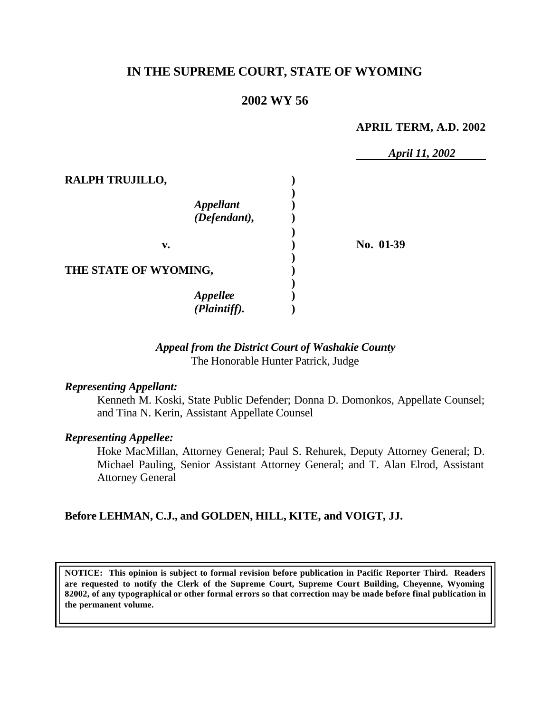# **IN THE SUPREME COURT, STATE OF WYOMING**

# **2002 WY 56**

#### **APRIL TERM, A.D. 2002**

|                                                                        | April 11, 2002 |  |
|------------------------------------------------------------------------|----------------|--|
| RALPH TRUJILLO,<br><b>Appellant</b><br>$(\tilde{\textit{Defendant}}),$ |                |  |
| v.                                                                     | No. 01-39      |  |
| THE STATE OF WYOMING,                                                  |                |  |
| <b>Appellee</b><br>(Plaintiff).                                        |                |  |

## *Appeal from the District Court of Washakie County* The Honorable Hunter Patrick, Judge

#### *Representing Appellant:*

Kenneth M. Koski, State Public Defender; Donna D. Domonkos, Appellate Counsel; and Tina N. Kerin, Assistant Appellate Counsel

### *Representing Appellee:*

Hoke MacMillan, Attorney General; Paul S. Rehurek, Deputy Attorney General; D. Michael Pauling, Senior Assistant Attorney General; and T. Alan Elrod, Assistant Attorney General

## **Before LEHMAN, C.J., and GOLDEN, HILL, KITE, and VOIGT, JJ.**

**NOTICE: This opinion is subject to formal revision before publication in Pacific Reporter Third. Readers are requested to notify the Clerk of the Supreme Court, Supreme Court Building, Cheyenne, Wyoming 82002, of any typographical or other formal errors so that correction may be made before final publication in the permanent volume.**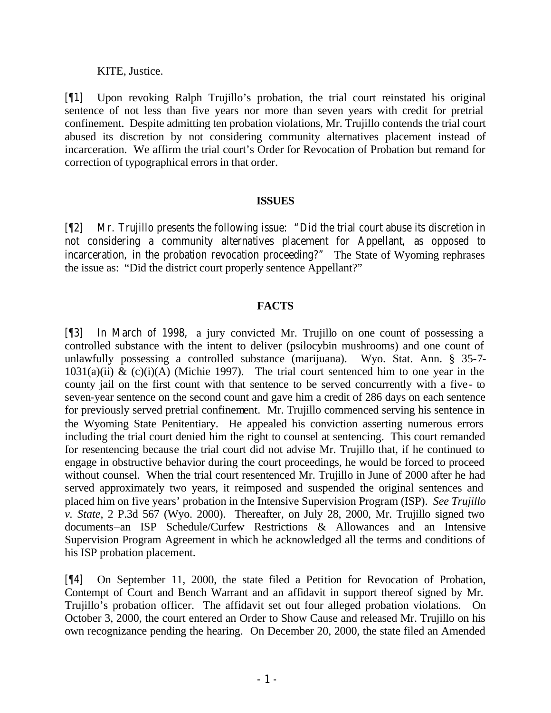## KITE, Justice.

[¶1] Upon revoking Ralph Trujillo's probation, the trial court reinstated his original sentence of not less than five years nor more than seven years with credit for pretrial confinement. Despite admitting ten probation violations, Mr. Trujillo contends the trial court abused its discretion by not considering community alternatives placement instead of incarceration. We affirm the trial court's Order for Revocation of Probation but remand for correction of typographical errors in that order.

## **ISSUES**

[¶2] Mr. Trujillo presents the following issue: "Did the trial court abuse its discretion in not considering a community alternatives placement for Appellant, as opposed to incarceration, in the probation revocation proceeding?" The State of Wyoming rephrases the issue as: "Did the district court properly sentence Appellant?"

## **FACTS**

[¶3] In March of 1998, a jury convicted Mr. Trujillo on one count of possessing a controlled substance with the intent to deliver (psilocybin mushrooms) and one count of unlawfully possessing a controlled substance (marijuana). Wyo. Stat. Ann. § 35-7-  $1031(a)(ii)$  & (c)(i)(A) (Michie 1997). The trial court sentenced him to one year in the county jail on the first count with that sentence to be served concurrently with a five- to seven-year sentence on the second count and gave him a credit of 286 days on each sentence for previously served pretrial confinement. Mr. Trujillo commenced serving his sentence in the Wyoming State Penitentiary. He appealed his conviction asserting numerous errors including the trial court denied him the right to counsel at sentencing. This court remanded for resentencing because the trial court did not advise Mr. Trujillo that, if he continued to engage in obstructive behavior during the court proceedings, he would be forced to proceed without counsel. When the trial court resentenced Mr. Trujillo in June of 2000 after he had served approximately two years, it reimposed and suspended the original sentences and placed him on five years' probation in the Intensive Supervision Program (ISP). *See Trujillo v. State*, 2 P.3d 567 (Wyo. 2000). Thereafter, on July 28, 2000, Mr. Trujillo signed two documents–an ISP Schedule/Curfew Restrictions & Allowances and an Intensive Supervision Program Agreement in which he acknowledged all the terms and conditions of his ISP probation placement.

[¶4] On September 11, 2000, the state filed a Petition for Revocation of Probation, Contempt of Court and Bench Warrant and an affidavit in support thereof signed by Mr. Trujillo's probation officer.The affidavit set out four alleged probation violations. On October 3, 2000, the court entered an Order to Show Cause and released Mr. Trujillo on his own recognizance pending the hearing. On December 20, 2000, the state filed an Amended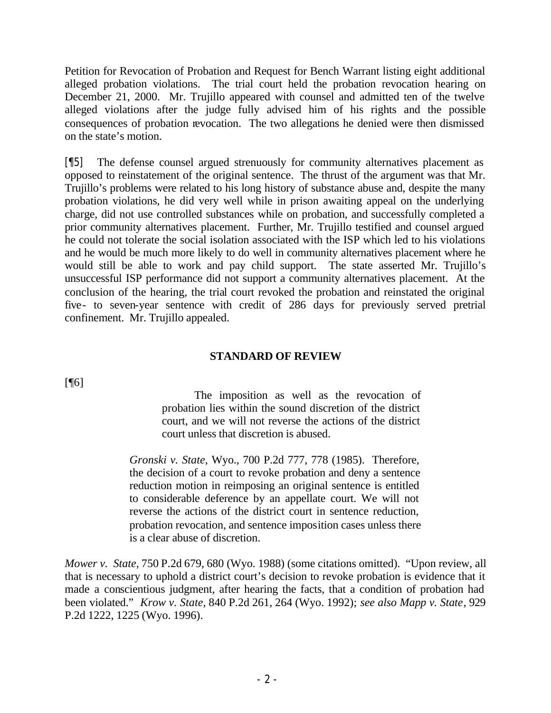Petition for Revocation of Probation and Request for Bench Warrant listing eight additional alleged probation violations. The trial court held the probation revocation hearing on December 21, 2000. Mr. Trujillo appeared with counsel and admitted ten of the twelve alleged violations after the judge fully advised him of his rights and the possible consequences of probation revocation. The two allegations he denied were then dismissed on the state's motion.

[¶5] The defense counsel argued strenuously for community alternatives placement as opposed to reinstatement of the original sentence. The thrust of the argument was that Mr. Trujillo's problems were related to his long history of substance abuse and, despite the many probation violations, he did very well while in prison awaiting appeal on the underlying charge, did not use controlled substances while on probation, and successfully completed a prior community alternatives placement. Further, Mr. Trujillo testified and counsel argued he could not tolerate the social isolation associated with the ISP which led to his violations and he would be much more likely to do well in community alternatives placement where he would still be able to work and pay child support. The state asserted Mr. Trujillo's unsuccessful ISP performance did not support a community alternatives placement. At the conclusion of the hearing, the trial court revoked the probation and reinstated the original five- to seven-year sentence with credit of 286 days for previously served pretrial confinement. Mr. Trujillo appealed.

## **STANDARD OF REVIEW**

 $[$ [ $\lceil$ 

The imposition as well as the revocation of probation lies within the sound discretion of the district court, and we will not reverse the actions of the district court unless that discretion is abused.

*Gronski v. State*, Wyo., 700 P.2d 777, 778 (1985). Therefore, the decision of a court to revoke probation and deny a sentence reduction motion in reimposing an original sentence is entitled to considerable deference by an appellate court. We will not reverse the actions of the district court in sentence reduction, probation revocation, and sentence imposition cases unless there is a clear abuse of discretion.

*Mower v. State*, 750 P.2d 679, 680 (Wyo. 1988) (some citations omitted). "Upon review, all that is necessary to uphold a district court's decision to revoke probation is evidence that it made a conscientious judgment, after hearing the facts, that a condition of probation had been violated." *Krow v. State*, 840 P.2d 261, 264 (Wyo. 1992); *see also Mapp v. State*, 929 P.2d 1222, 1225 (Wyo. 1996).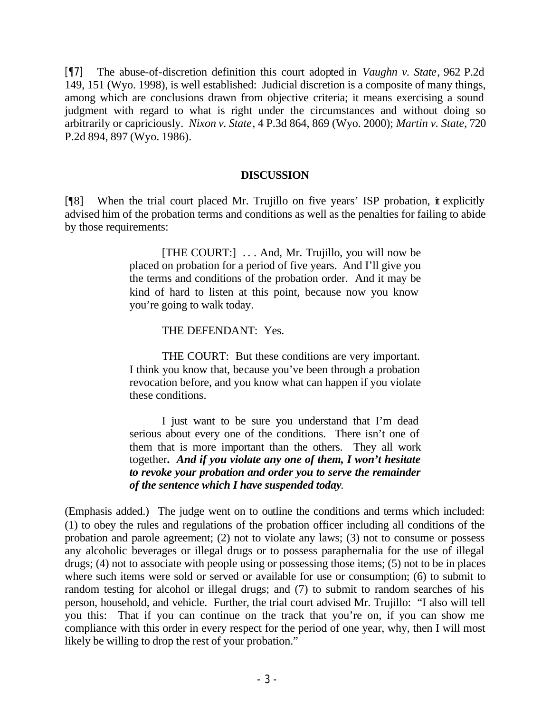[¶7] The abuse-of-discretion definition this court adopted in *Vaughn v. State*, 962 P.2d 149, 151 (Wyo. 1998), is well established: Judicial discretion is a composite of many things, among which are conclusions drawn from objective criteria; it means exercising a sound judgment with regard to what is right under the circumstances and without doing so arbitrarily or capriciously. *Nixon v. State*, 4 P.3d 864, 869 (Wyo. 2000); *Martin v. State*, 720 P.2d 894, 897 (Wyo. 1986).

### **DISCUSSION**

[¶8] When the trial court placed Mr. Trujillo on five years' ISP probation, it explicitly advised him of the probation terms and conditions as well as the penalties for failing to abide by those requirements:

> [THE COURT:] . . . And, Mr. Trujillo, you will now be placed on probation for a period of five years. And I'll give you the terms and conditions of the probation order. And it may be kind of hard to listen at this point, because now you know you're going to walk today.

### THE DEFENDANT: Yes.

THE COURT: But these conditions are very important. I think you know that, because you've been through a probation revocation before, and you know what can happen if you violate these conditions.

I just want to be sure you understand that I'm dead serious about every one of the conditions. There isn't one of them that is more important than the others. They all work together*. And if you violate any one of them, I won't hesitate to revoke your probation and order you to serve the remainder of the sentence which I have suspended today*.

(Emphasis added.)The judge went on to outline the conditions and terms which included: (1) to obey the rules and regulations of the probation officer including all conditions of the probation and parole agreement; (2) not to violate any laws; (3) not to consume or possess any alcoholic beverages or illegal drugs or to possess paraphernalia for the use of illegal drugs; (4) not to associate with people using or possessing those items; (5) not to be in places where such items were sold or served or available for use or consumption; (6) to submit to random testing for alcohol or illegal drugs; and (7) to submit to random searches of his person, household, and vehicle. Further, the trial court advised Mr. Trujillo: "I also will tell you this: That if you can continue on the track that you're on, if you can show me compliance with this order in every respect for the period of one year, why, then I will most likely be willing to drop the rest of your probation."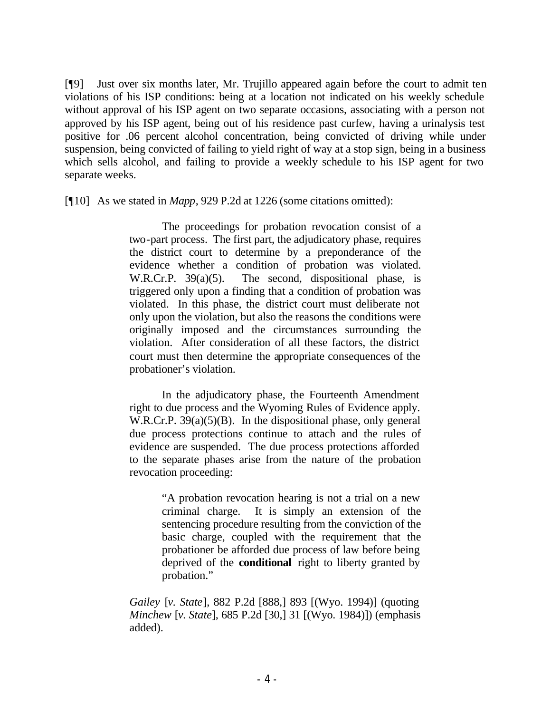[¶9] Just over six months later, Mr. Trujillo appeared again before the court to admit ten violations of his ISP conditions: being at a location not indicated on his weekly schedule without approval of his ISP agent on two separate occasions, associating with a person not approved by his ISP agent, being out of his residence past curfew, having a urinalysis test positive for .06 percent alcohol concentration, being convicted of driving while under suspension, being convicted of failing to yield right of way at a stop sign, being in a business which sells alcohol, and failing to provide a weekly schedule to his ISP agent for two separate weeks.

[¶10] As we stated in *Mapp*, 929 P.2d at 1226 (some citations omitted):

The proceedings for probation revocation consist of a two-part process. The first part, the adjudicatory phase, requires the district court to determine by a preponderance of the evidence whether a condition of probation was violated. W.R.Cr.P. 39(a)(5). The second, dispositional phase, is triggered only upon a finding that a condition of probation was violated. In this phase, the district court must deliberate not only upon the violation, but also the reasons the conditions were originally imposed and the circumstances surrounding the violation. After consideration of all these factors, the district court must then determine the appropriate consequences of the probationer's violation.

In the adjudicatory phase, the Fourteenth Amendment right to due process and the Wyoming Rules of Evidence apply. W.R.Cr.P. 39(a)(5)(B). In the dispositional phase, only general due process protections continue to attach and the rules of evidence are suspended. The due process protections afforded to the separate phases arise from the nature of the probation revocation proceeding:

> "A probation revocation hearing is not a trial on a new criminal charge. It is simply an extension of the sentencing procedure resulting from the conviction of the basic charge, coupled with the requirement that the probationer be afforded due process of law before being deprived of the **conditional** right to liberty granted by probation."

*Gailey* [*v. State*], 882 P.2d [888,] 893 [(Wyo. 1994)] (quoting *Minchew* [*v. State*], 685 P.2d [30,] 31 [(Wyo. 1984)]) (emphasis added).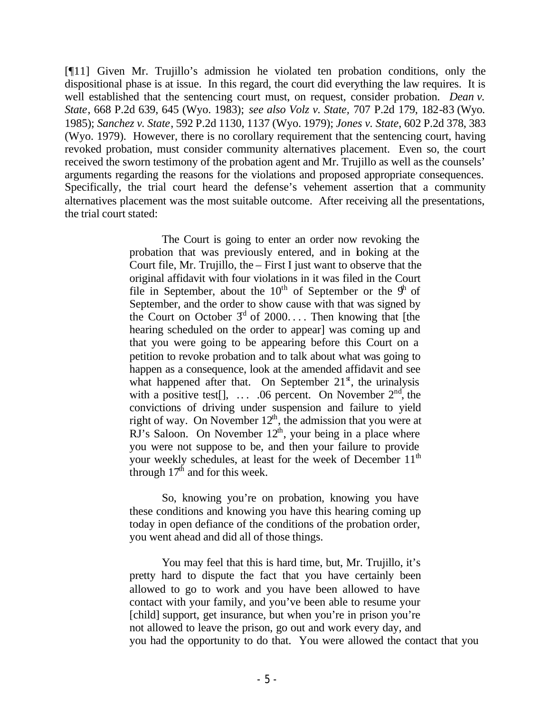[¶11] Given Mr. Trujillo's admission he violated ten probation conditions, only the dispositional phase is at issue. In this regard, the court did everything the law requires. It is well established that the sentencing court must, on request, consider probation. *Dean v. State*, 668 P.2d 639, 645 (Wyo. 1983); *see also Volz v. State,* 707 P.2d 179, 182-83 (Wyo. 1985); *Sanchez v. State*, 592 P.2d 1130, 1137 (Wyo. 1979); *Jones v. State*, 602 P.2d 378, 383 (Wyo. 1979). However, there is no corollary requirement that the sentencing court, having revoked probation, must consider community alternatives placement. Even so, the court received the sworn testimony of the probation agent and Mr. Trujillo as well as the counsels' arguments regarding the reasons for the violations and proposed appropriate consequences. Specifically, the trial court heard the defense's vehement assertion that a community alternatives placement was the most suitable outcome. After receiving all the presentations, the trial court stated:

> The Court is going to enter an order now revoking the probation that was previously entered, and in looking at the Court file, Mr. Trujillo, the – First I just want to observe that the original affidavit with four violations in it was filed in the Court file in September, about the  $10<sup>th</sup>$  of September or the  $9<sup>th</sup>$  of September, and the order to show cause with that was signed by the Court on October  $3^d$  of 2000.... Then knowing that [the hearing scheduled on the order to appear] was coming up and that you were going to be appearing before this Court on a petition to revoke probation and to talk about what was going to happen as a consequence, look at the amended affidavit and see what happened after that. On September  $21<sup>s</sup>$ , the urinalysis with a positive test[],  $\dots$  .06 percent. On November  $2<sup>nd</sup>$ , the convictions of driving under suspension and failure to yield right of way. On November  $12<sup>th</sup>$ , the admission that you were at  $\overline{R}$ J's Saloon. On November  $12<sup>th</sup>$ , your being in a place where you were not suppose to be, and then your failure to provide your weekly schedules, at least for the week of December  $11<sup>th</sup>$ through  $17<sup>th</sup>$  and for this week.

So, knowing you're on probation, knowing you have these conditions and knowing you have this hearing coming up today in open defiance of the conditions of the probation order, you went ahead and did all of those things.

You may feel that this is hard time, but, Mr. Trujillo, it's pretty hard to dispute the fact that you have certainly been allowed to go to work and you have been allowed to have contact with your family, and you've been able to resume your [child] support, get insurance, but when you're in prison you're not allowed to leave the prison, go out and work every day, and you had the opportunity to do that. You were allowed the contact that you